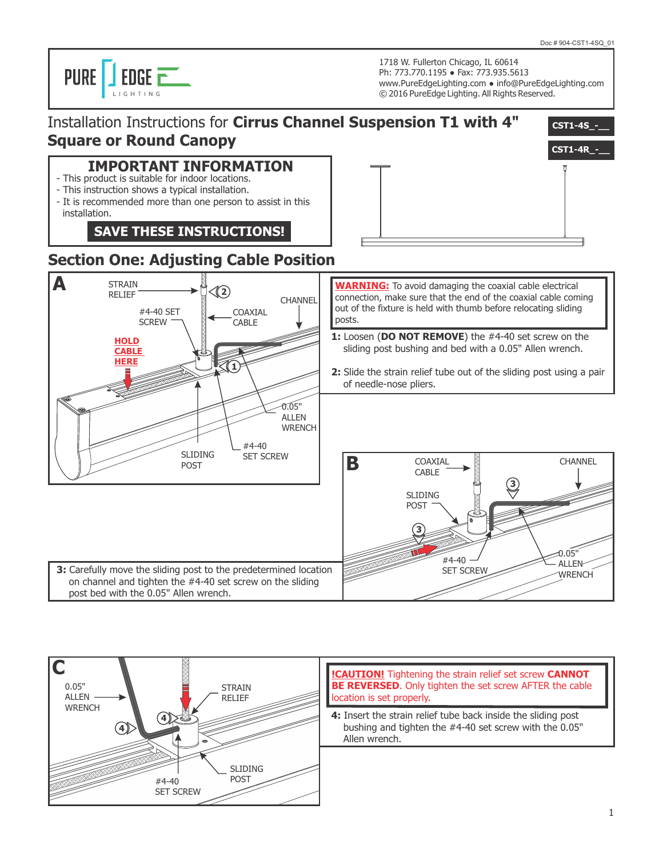

1718 W. Fullerton Chicago, IL 60614 Ph: 773.770.1195 ● Fax: 773.935.5613 www.PureEdgeLighting.com ● info@PureEdgeLighting.com © 2016 PureEdge Lighting. All Rights Reserved.



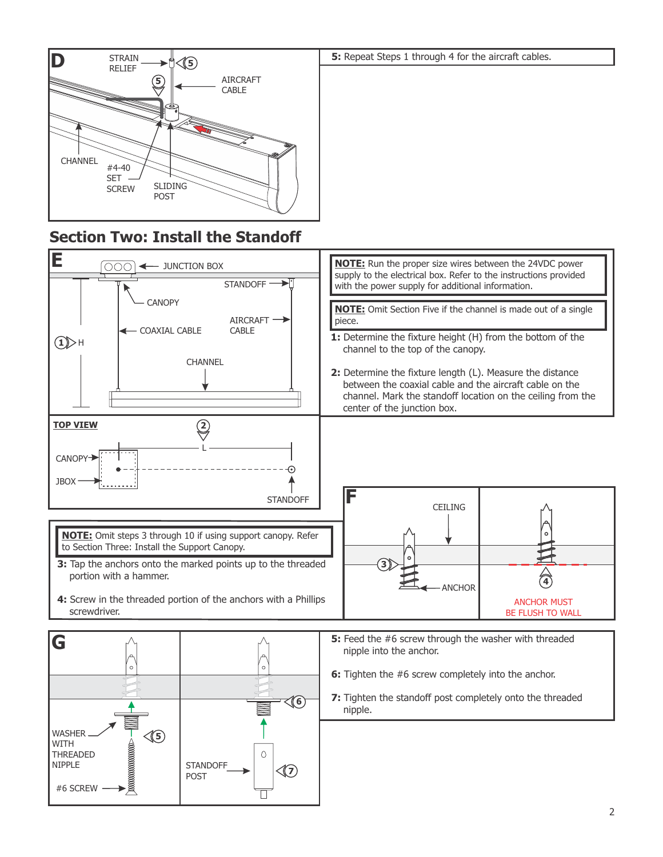

## **Section Two: Install the Standoff**

#6 SCREW

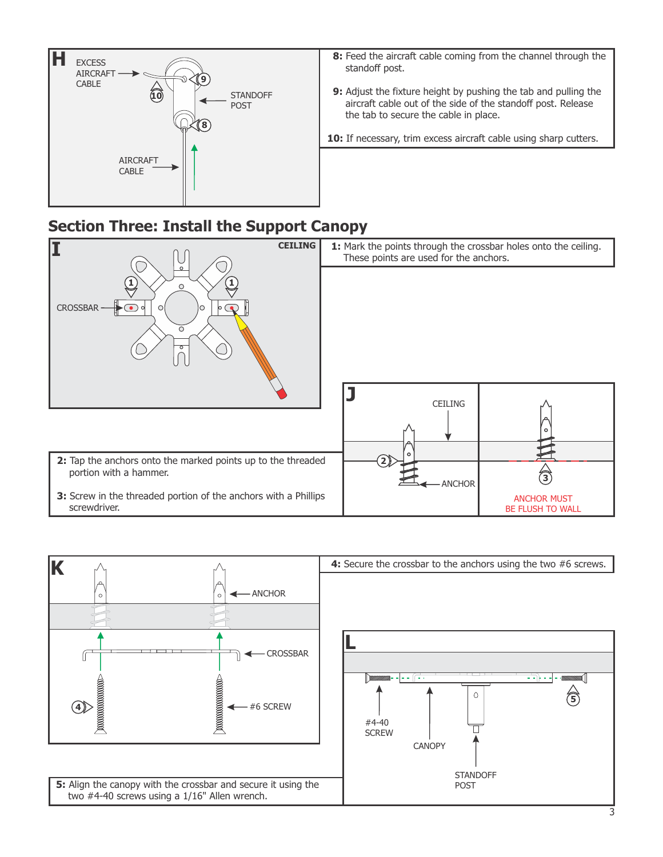

## **Section Three: Install the Support Canopy**



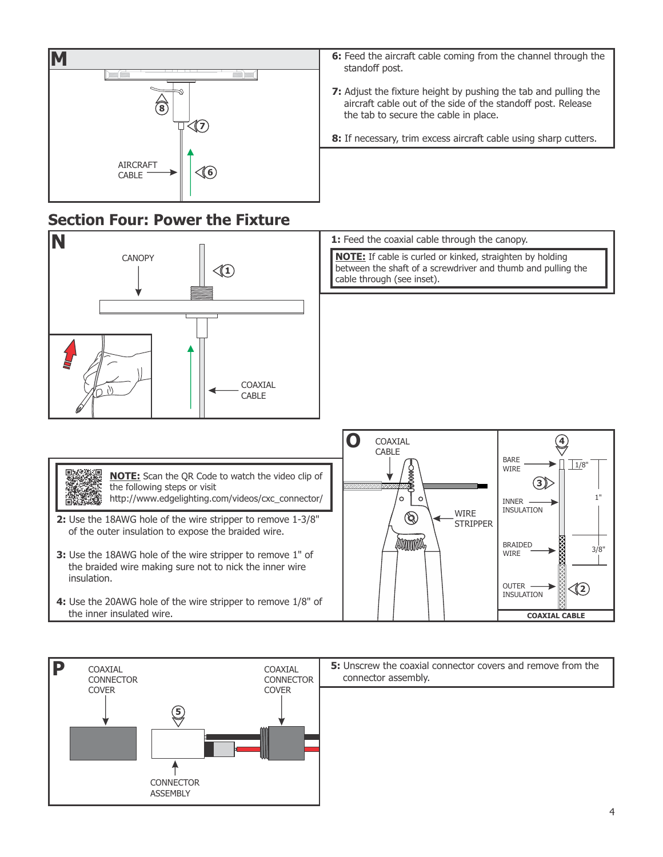

#### **Section Four: Power the Fixture**



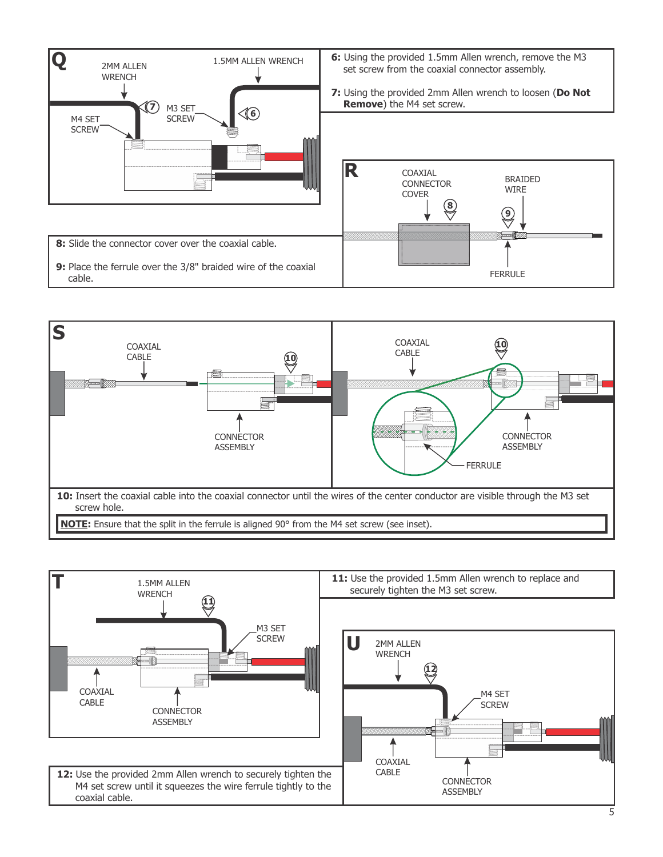



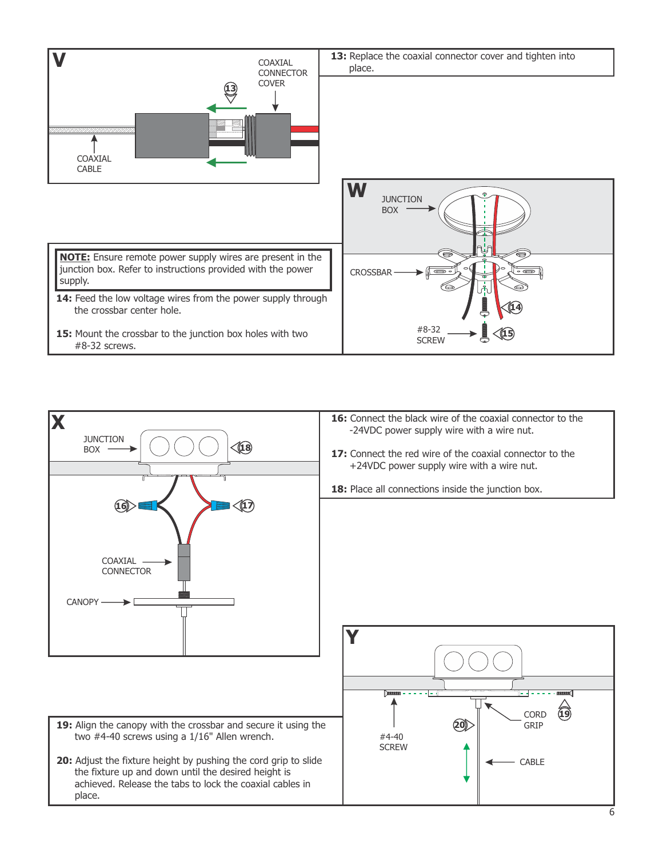![](_page_5_Figure_0.jpeg)

![](_page_5_Figure_1.jpeg)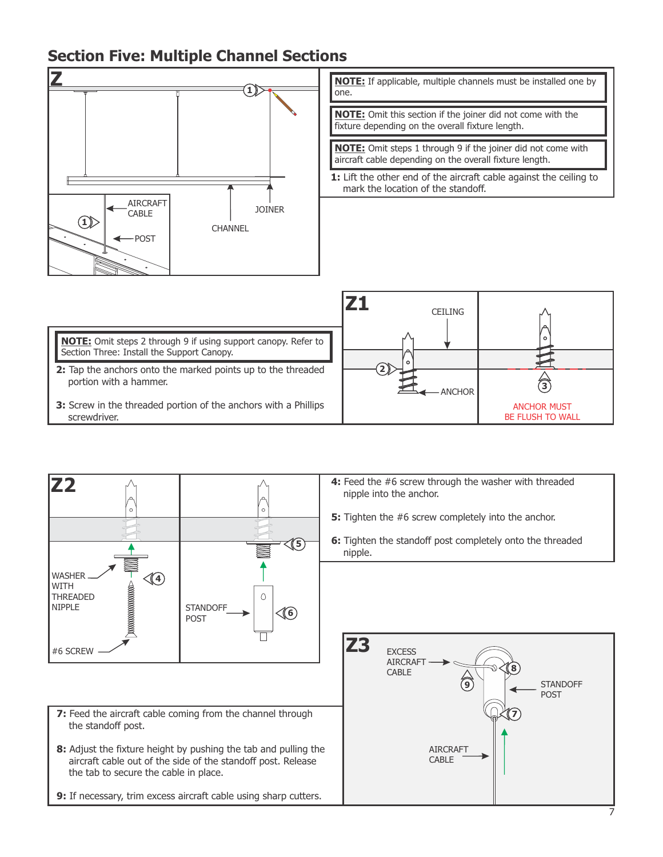## **Section Five: Multiple Channel Sections**

![](_page_6_Figure_1.jpeg)

**NOTE:** If applicable, multiple channels must be installed one by one. **NOTE:** Omit this section if the joiner did not come with the fixture depending on the overall fixture length.

**NOTE:** Omit steps 1 through 9 if the joiner did not come with aircraft cable depending on the overall fixture length.

**1:** Lift the other end of the aircraft cable against the ceiling to mark the location of the standoff.

|                                                                                                                     | <b>CEILING</b> |                                               |
|---------------------------------------------------------------------------------------------------------------------|----------------|-----------------------------------------------|
| <b>NOTE:</b> Omit steps 2 through 9 if using support canopy. Refer to<br>Section Three: Install the Support Canopy. |                |                                               |
| 2: Tap the anchors onto the marked points up to the threaded<br>portion with a hammer.                              | $\mathbf{2}$   |                                               |
| 3: Screw in the threaded portion of the anchors with a Phillips<br>screwdriver.                                     | – ANCHOR       | <b>ANCHOR MUST</b><br><b>BE FLUSH TO WALL</b> |

![](_page_6_Figure_6.jpeg)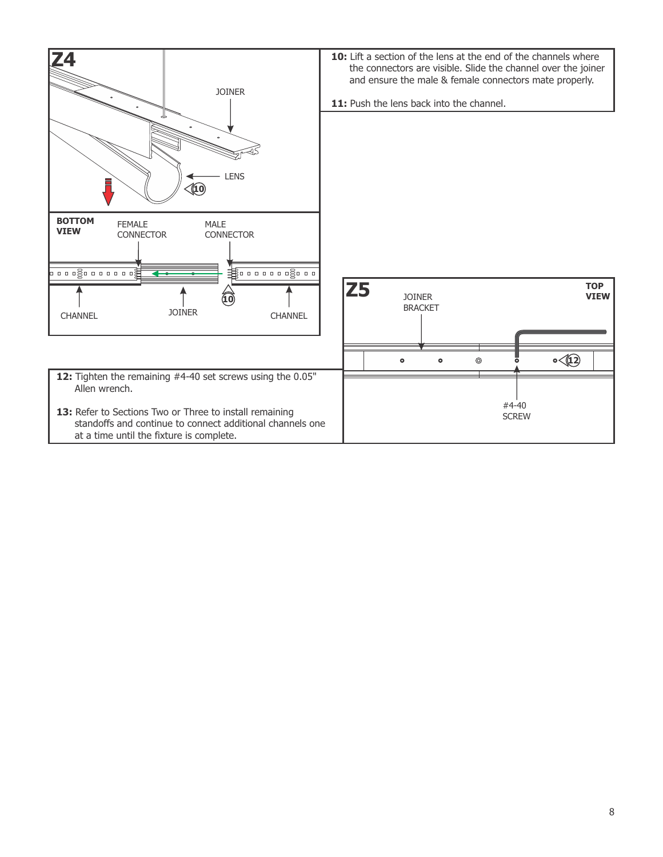![](_page_7_Figure_0.jpeg)